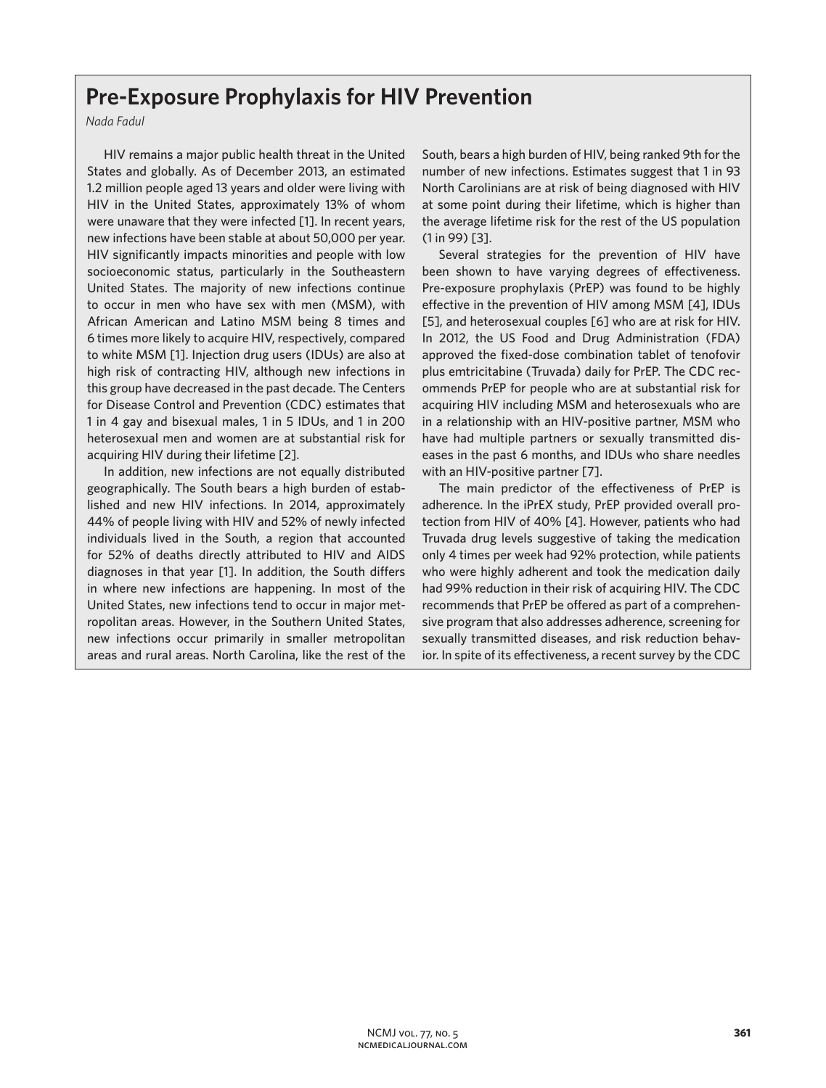## **Pre-Exposure Prophylaxis for HIV Prevention**

*Nada Fadul*

HIV remains a major public health threat in the United States and globally. As of December 2013, an estimated 1.2 million people aged 13 years and older were living with HIV in the United States, approximately 13% of whom were unaware that they were infected [1]. In recent years, new infections have been stable at about 50,000 per year. HIV significantly impacts minorities and people with low socioeconomic status, particularly in the Southeastern United States. The majority of new infections continue to occur in men who have sex with men (MSM), with African American and Latino MSM being 8 times and 6 times more likely to acquire HIV, respectively, compared to white MSM [1]. Injection drug users (IDUs) are also at high risk of contracting HIV, although new infections in this group have decreased in the past decade. The Centers for Disease Control and Prevention (CDC) estimates that 1 in 4 gay and bisexual males, 1 in 5 IDUs, and 1 in 200 heterosexual men and women are at substantial risk for acquiring HIV during their lifetime [2].

In addition, new infections are not equally distributed geographically. The South bears a high burden of established and new HIV infections. In 2014, approximately 44% of people living with HIV and 52% of newly infected individuals lived in the South, a region that accounted for 52% of deaths directly attributed to HIV and AIDS diagnoses in that year [1]. In addition, the South differs in where new infections are happening. In most of the United States, new infections tend to occur in major metropolitan areas. However, in the Southern United States, new infections occur primarily in smaller metropolitan areas and rural areas. North Carolina, like the rest of the South, bears a high burden of HIV, being ranked 9th for the number of new infections. Estimates suggest that 1 in 93 North Carolinians are at risk of being diagnosed with HIV at some point during their lifetime, which is higher than the average lifetime risk for the rest of the US population (1 in 99) [3].

Several strategies for the prevention of HIV have been shown to have varying degrees of effectiveness. Pre-exposure prophylaxis (PrEP) was found to be highly effective in the prevention of HIV among MSM [4], IDUs [5], and heterosexual couples [6] who are at risk for HIV. In 2012, the US Food and Drug Administration (FDA) approved the fixed-dose combination tablet of tenofovir plus emtricitabine (Truvada) daily for PrEP. The CDC recommends PrEP for people who are at substantial risk for acquiring HIV including MSM and heterosexuals who are in a relationship with an HIV-positive partner, MSM who have had multiple partners or sexually transmitted diseases in the past 6 months, and IDUs who share needles with an HIV-positive partner [7].

The main predictor of the effectiveness of PrEP is adherence. In the iPrEX study, PrEP provided overall protection from HIV of 40% [4]. However, patients who had Truvada drug levels suggestive of taking the medication only 4 times per week had 92% protection, while patients who were highly adherent and took the medication daily had 99% reduction in their risk of acquiring HIV. The CDC recommends that PrEP be offered as part of a comprehensive program that also addresses adherence, screening for sexually transmitted diseases, and risk reduction behavior. In spite of its effectiveness, a recent survey by the CDC